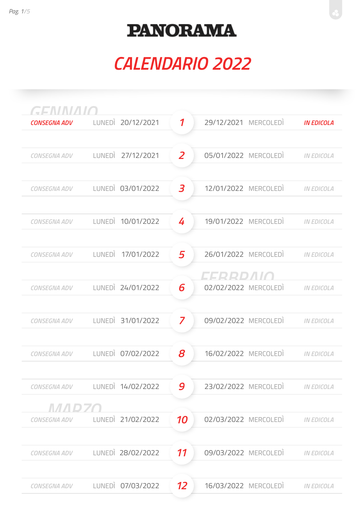| GENNIAIO            |                   |                            |                      |                   |
|---------------------|-------------------|----------------------------|----------------------|-------------------|
| <b>CONSEGNA ADV</b> | LUNEDI 20/12/2021 | $\boldsymbol{\mathcal{I}}$ | 29/12/2021 MERCOLEDI | <b>IN EDICOLA</b> |
|                     |                   |                            |                      |                   |
| <b>CONSEGNA ADV</b> | LUNEDI 27/12/2021 | $\overline{z}$             | 05/01/2022 MERCOLEDI | <b>IN EDICOLA</b> |
|                     |                   |                            |                      |                   |
| <b>CONSEGNA ADV</b> | LUNEDI 03/01/2022 | 3                          | 12/01/2022 MERCOLEDI | <b>IN EDICOLA</b> |
|                     |                   |                            |                      |                   |
| <b>CONSEGNA ADV</b> | LUNEDI 10/01/2022 | 4                          | 19/01/2022 MERCOLEDI | <b>IN EDICOLA</b> |
|                     |                   |                            |                      |                   |
| CONSEGNA ADV        | LUNEDI 17/01/2022 | 5                          | 26/01/2022 MERCOLEDI | <b>IN EDICOLA</b> |
|                     |                   |                            | EERRDAIA             |                   |
| <b>CONSEGNA ADV</b> | LUNEDI 24/01/2022 | 6                          | 02/02/2022 MERCOLEDI | <b>IN EDICOLA</b> |
|                     |                   |                            |                      |                   |
| <b>CONSEGNA ADV</b> | LUNEDI 31/01/2022 | $\overline{\mathbf{z}}$    | 09/02/2022 MERCOLEDI | <b>IN EDICOLA</b> |
|                     |                   |                            |                      |                   |
| <b>CONSEGNA ADV</b> | LUNEDI 07/02/2022 | 8                          | 16/02/2022 MERCOLEDI | <b>IN EDICOLA</b> |
|                     |                   |                            |                      |                   |
| CONSEGNA ADV        | LUNEDI 14/02/2022 | 9                          | 23/02/2022 MERCOLEDI | <b>IN EDICOLA</b> |
| МИРИО               |                   |                            |                      |                   |
| CONSEGNA ADV        | LUNEDI 21/02/2022 | 10                         | 02/03/2022 MERCOLEDI | <b>IN EDICOLA</b> |
|                     |                   |                            |                      |                   |
| <b>CONSEGNA ADV</b> | LUNEDI 28/02/2022 | 11                         | 09/03/2022 MERCOLEDI | <b>IN EDICOLA</b> |
|                     |                   |                            |                      |                   |
| CONSEGNA ADV        | LUNEDI 07/03/2022 | 12                         | 16/03/2022 MERCOLEDI | <b>IN EDICOLA</b> |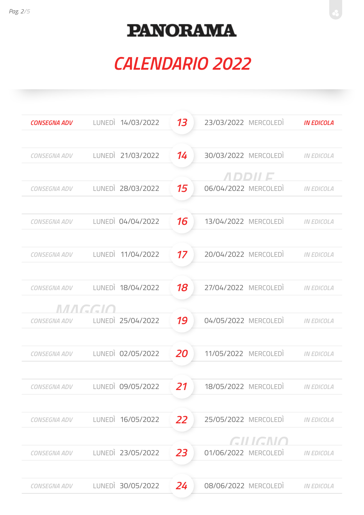| <b>CONSEGNA ADV</b> | LUNEDI 14/03/2022 | 13 | 23/03/2022 MERCOLEDI | <b>IN EDICOLA</b> |
|---------------------|-------------------|----|----------------------|-------------------|
|                     |                   |    |                      |                   |
| <b>CONSEGNA ADV</b> | LUNEDI 21/03/2022 | 14 | 30/03/2022 MERCOLEDI | <b>IN EDICOLA</b> |
|                     |                   |    | <i>ALDIDIHE</i>      |                   |
| <b>CONSEGNA ADV</b> | LUNEDI 28/03/2022 | 15 | 06/04/2022 MERCOLEDI | <b>IN EDICOLA</b> |
|                     |                   |    |                      |                   |
| <b>CONSEGNA ADV</b> | LUNEDI 04/04/2022 | 16 | 13/04/2022 MERCOLEDI | <b>IN EDICOLA</b> |
|                     |                   |    |                      |                   |
| <b>CONSEGNA ADV</b> | LUNEDI 11/04/2022 | 17 | 20/04/2022 MERCOLEDI | <b>IN EDICOLA</b> |
|                     |                   |    |                      |                   |
| CONSEGNA ADV        | LUNEDI 18/04/2022 | 18 | 27/04/2022 MERCOLEDI | <b>IN EDICOLA</b> |
|                     | MAGGH             |    |                      |                   |
| CONSEGNA ADV        | LUNEDI 25/04/2022 | 19 | 04/05/2022 MERCOLEDI | <b>IN EDICOLA</b> |
|                     |                   |    |                      |                   |
| <b>CONSEGNA ADV</b> | LUNEDI 02/05/2022 | 20 | 11/05/2022 MERCOLEDI | <b>IN EDICOLA</b> |
|                     |                   |    |                      |                   |
| CONSEGNA ADV        | LUNEDI 09/05/2022 | 21 | 18/05/2022 MERCOLEDI | <b>IN EDICOLA</b> |
|                     |                   |    |                      |                   |
| <b>CONSEGNA ADV</b> | LUNEDI 16/05/2022 | 22 | 25/05/2022 MERCOLEDI | <b>IN EDICOLA</b> |
|                     |                   |    | GILIGNO              |                   |
| <b>CONSEGNA ADV</b> | LUNEDI 23/05/2022 | 23 | 01/06/2022 MERCOLEDI | <b>IN EDICOLA</b> |
|                     |                   |    |                      |                   |
| <b>CONSEGNA ADV</b> | LUNEDI 30/05/2022 | 24 | 08/06/2022 MERCOLEDI | <b>IN EDICOLA</b> |
|                     |                   |    |                      |                   |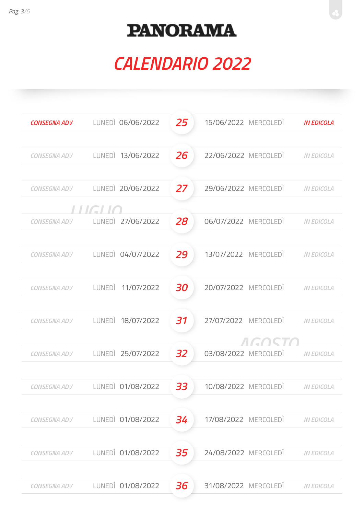| LUNEDI 06/06/2022    | 25      | 15/06/2022 MERCOLEDI | <b>IN EDICOLA</b> |
|----------------------|---------|----------------------|-------------------|
|                      |         |                      |                   |
| LUNEDI 13/06/2022    | 26      | 22/06/2022 MERCOLEDI | <b>IN EDICOLA</b> |
|                      |         |                      |                   |
| LUNEDI 20/06/2022    | 27      | 29/06/2022 MERCOLEDI | <b>IN EDICOLA</b> |
|                      |         |                      |                   |
| LUNEDI 27/06/2022    | 28      | 06/07/2022 MERCOLEDI | <b>IN EDICOLA</b> |
|                      |         |                      |                   |
| LUNEDI 04/07/2022    | 29      | 13/07/2022 MERCOLEDI | <b>IN EDICOLA</b> |
|                      |         |                      |                   |
| 11/07/2022<br>LUNEDI | 30      | 20/07/2022 MERCOLEDI | <b>IN EDICOLA</b> |
|                      |         |                      |                   |
| LUNEDI 18/07/2022    | 31      | 27/07/2022 MERCOLEDI | <b>IN EDICOLA</b> |
|                      |         | $\sqrt{11}$          |                   |
| LUNEDI 25/07/2022    | 32      | 03/08/2022 MERCOLEDI | <b>IN EDICOLA</b> |
|                      |         |                      |                   |
| LUNEDI 01/08/2022    | 33      | 10/08/2022 MERCOLEDI | <b>IN EDICOLA</b> |
|                      |         |                      |                   |
| LUNEDI 01/08/2022    | 34      | 17/08/2022 MERCOLEDI | <b>IN EDICOLA</b> |
|                      |         |                      |                   |
| LUNEDI 01/08/2022    | 35      | 24/08/2022 MERCOLEDI | <b>IN EDICOLA</b> |
|                      |         |                      |                   |
| LUNEDI 01/08/2022    | 36      | 31/08/2022 MERCOLEDI | <b>IN EDICOLA</b> |
|                      | l HGLIC |                      | EACI              |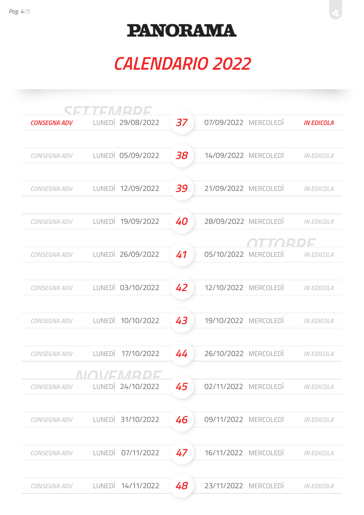|                     | SETTEMRDE         |    |                                           |
|---------------------|-------------------|----|-------------------------------------------|
| <b>CONSEGNA ADV</b> | LUNEDI 29/08/2022 | 37 | 07/09/2022 MERCOLEDI<br><b>IN EDICOLA</b> |
|                     |                   |    |                                           |
| <b>CONSEGNA ADV</b> | LUNEDI 05/09/2022 | 38 | 14/09/2022 MERCOLEDI<br><b>IN EDICOLA</b> |
|                     |                   |    |                                           |
| <b>CONSEGNA ADV</b> | LUNEDI 12/09/2022 | 39 | 21/09/2022 MERCOLEDI<br><b>IN EDICOLA</b> |
|                     |                   |    |                                           |
| <b>CONSEGNA ADV</b> | LUNEDI 19/09/2022 | 40 | 28/09/2022 MERCOLEDI<br><b>IN EDICOLA</b> |
|                     |                   |    | THAIPIDI T                                |
| <b>CONSEGNA ADV</b> | LUNEDI 26/09/2022 | 41 | 05/10/2022 MERCOLEDI<br><b>IN EDICOLA</b> |
|                     |                   |    |                                           |
| <b>CONSEGNA ADV</b> | LUNEDI 03/10/2022 | 42 | 12/10/2022 MERCOLEDI<br><b>IN EDICOLA</b> |
|                     |                   |    |                                           |
| <b>CONSEGNA ADV</b> | LUNEDI 10/10/2022 | 43 | 19/10/2022 MERCOLEDI<br><b>IN EDICOLA</b> |
|                     |                   |    |                                           |
| CONSEGNA ADV        | LUNEDI 17/10/2022 | 44 | 26/10/2022 MERCOLEDI<br><b>IN EDICOLA</b> |
|                     | -----------       |    |                                           |
| <b>CONSEGNA ADV</b> | LUNEDI 24/10/2022 | 45 | 02/11/2022 MERCOLEDI<br><b>IN EDICOLA</b> |
|                     |                   |    |                                           |
| <b>CONSEGNA ADV</b> | LUNEDI 31/10/2022 | 46 | 09/11/2022 MERCOLEDI<br><b>IN EDICOLA</b> |
|                     |                   |    |                                           |
| <b>CONSEGNA ADV</b> | LUNEDI 07/11/2022 | 47 | 16/11/2022 MERCOLEDI<br><b>IN EDICOLA</b> |
|                     |                   |    |                                           |
| <b>CONSEGNA ADV</b> | LUNEDI 14/11/2022 | 48 | 23/11/2022 MERCOLEDI<br><b>IN EDICOLA</b> |